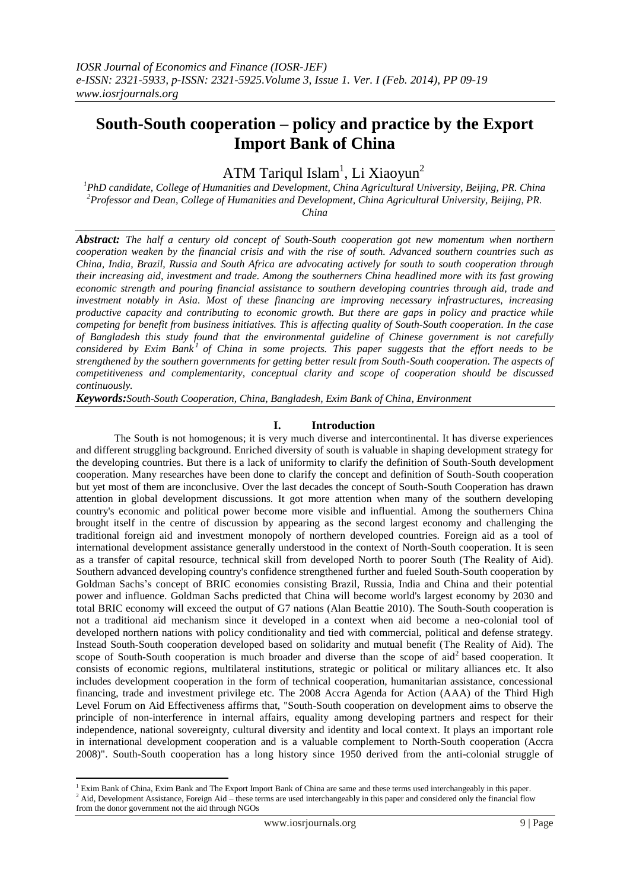# **South-South cooperation – policy and practice by the Export Import Bank of China**

ATM Tariqul Islam<sup>1</sup>, Li Xiaoyun<sup>2</sup>

*<sup>1</sup>PhD candidate, College of Humanities and Development, China Agricultural University, Beijing, PR. China <sup>2</sup>Professor and Dean, College of Humanities and Development, China Agricultural University, Beijing, PR. China*

*Abstract: The half a century old concept of South-South cooperation got new momentum when northern cooperation weaken by the financial crisis and with the rise of south. Advanced southern countries such as China, India, Brazil, Russia and South Africa are advocating actively for south to south cooperation through their increasing aid, investment and trade. Among the southerners China headlined more with its fast growing economic strength and pouring financial assistance to southern developing countries through aid, trade and investment notably in Asia. Most of these financing are improving necessary infrastructures, increasing productive capacity and contributing to economic growth. But there are gaps in policy and practice while competing for benefit from business initiatives. This is affecting quality of South-South cooperation. In the case of Bangladesh this study found that the environmental guideline of Chinese government is not carefully considered by Exim Bank<sup>1</sup> of China in some projects. This paper suggests that the effort needs to be strengthened by the southern governments for getting better result from South-South cooperation. The aspects of competitiveness and complementarity, conceptual clarity and scope of cooperation should be discussed continuously.*

*Keywords:South-South Cooperation, China, Bangladesh, Exim Bank of China, Environment*

## **I. Introduction**

The South is not homogenous; it is very much diverse and intercontinental. It has diverse experiences and different struggling background. Enriched diversity of south is valuable in shaping development strategy for the developing countries. But there is a lack of uniformity to clarify the definition of South-South development cooperation. Many researches have been done to clarify the concept and definition of South-South cooperation but yet most of them are inconclusive. Over the last decades the concept of South-South Cooperation has drawn attention in global development discussions. It got more attention when many of the southern developing country's economic and political power become more visible and influential. Among the southerners China brought itself in the centre of discussion by appearing as the second largest economy and challenging the traditional foreign aid and investment monopoly of northern developed countries. Foreign aid as a tool of international development assistance generally understood in the context of North-South cooperation. It is seen as a transfer of capital resource, technical skill from developed North to poorer South (The Reality of Aid). Southern advanced developing country's confidence strengthened further and fueled South-South cooperation by Goldman Sachs's concept of BRIC economies consisting Brazil, Russia, India and China and their potential power and influence. Goldman Sachs predicted that China will become world's largest economy by 2030 and total BRIC economy will exceed the output of G7 nations (Alan Beattie 2010). The South-South cooperation is not a traditional aid mechanism since it developed in a context when aid become a neo-colonial tool of developed northern nations with policy conditionality and tied with commercial, political and defense strategy. Instead South-South cooperation developed based on solidarity and mutual benefit (The Reality of Aid). The scope of South-South cooperation is much broader and diverse than the scope of aid<sup>2</sup> based cooperation. It consists of economic regions, multilateral institutions, strategic or political or military alliances etc. It also includes development cooperation in the form of technical cooperation, humanitarian assistance, concessional financing, trade and investment privilege etc. The 2008 Accra Agenda for Action (AAA) of the Third High Level Forum on Aid Effectiveness affirms that, "South-South cooperation on development aims to observe the principle of non-interference in internal affairs, equality among developing partners and respect for their independence, national sovereignty, cultural diversity and identity and local context. It plays an important role in international development cooperation and is a valuable complement to North-South cooperation (Accra 2008)". South-South cooperation has a long history since 1950 derived from the anti-colonial struggle of

**<sup>.</sup>** <sup>1</sup> Exim Bank of China, Exim Bank and The Export Import Bank of China are same and these terms used interchangeably in this paper.

<sup>&</sup>lt;sup>2</sup> Aid, Development Assistance, Foreign Aid – these terms are used interchangeably in this paper and considered only the financial flow from the donor government not the aid through NGOs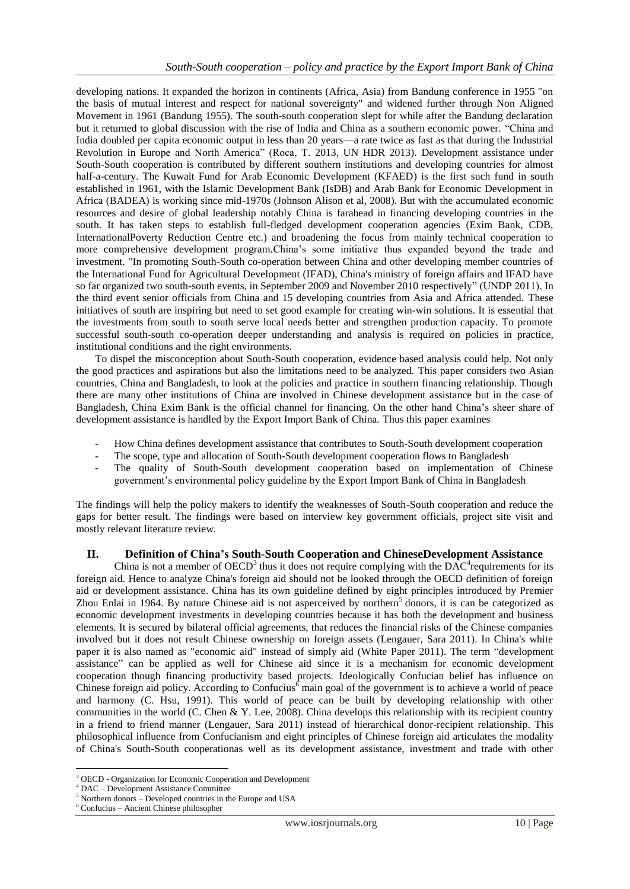developing nations. It expanded the horizon in continents (Africa, Asia) from Bandung conference in 1955 "on the basis of mutual interest and respect for national sovereignty" and widened further through Non Aligned Movement in 1961 (Bandung 1955). The south-south cooperation slept for while after the Bandung declaration but it returned to global discussion with the rise of India and China as a southern economic power. "China and India doubled per capita economic output in less than 20 years—a rate twice as fast as that during the Industrial Revolution in Europe and North America" (Roca, T. 2013, UN HDR 2013). Development assistance under South-South cooperation is contributed by different southern institutions and developing countries for almost half-a-century. The Kuwait Fund for Arab Economic Development (KFAED) is the first such fund in south established in 1961, with the Islamic Development Bank (IsDB) and Arab Bank for Economic Development in Africa (BADEA) is working since mid-1970s (Johnson Alison et al, 2008). But with the accumulated economic resources and desire of global leadership notably China is farahead in financing developing countries in the south. It has taken steps to establish full-fledged development cooperation agencies (Exim Bank, CDB, InternationalPoverty Reduction Centre etc.) and broadening the focus from mainly technical cooperation to more comprehensive development program.China's some initiative thus expanded beyond the trade and investment. "In promoting South-South co-operation between China and other developing member countries of the International Fund for Agricultural Development (IFAD), China's ministry of foreign affairs and IFAD have so far organized two south-south events, in September 2009 and November 2010 respectively" (UNDP 2011). In the third event senior officials from China and 15 developing countries from Asia and Africa attended. These initiatives of south are inspiring but need to set good example for creating win-win solutions. It is essential that the investments from south to south serve local needs better and strengthen production capacity. To promote successful south-south co-operation deeper understanding and analysis is required on policies in practice, institutional conditions and the right environments.

To dispel the misconception about South-South cooperation, evidence based analysis could help. Not only the good practices and aspirations but also the limitations need to be analyzed. This paper considers two Asian countries, China and Bangladesh, to look at the policies and practice in southern financing relationship. Though there are many other institutions of China are involved in Chinese development assistance but in the case of Bangladesh, China Exim Bank is the official channel for financing. On the other hand China's sheer share of development assistance is handled by the Export Import Bank of China. Thus this paper examines

- How China defines development assistance that contributes to South-South development cooperation
- The scope, type and allocation of South-South development cooperation flows to Bangladesh
- The quality of South-South development cooperation based on implementation of Chinese government's environmental policy guideline by the Export Import Bank of China in Bangladesh

The findings will help the policy makers to identify the weaknesses of South-South cooperation and reduce the gaps for better result. The findings were based on interview key government officials, project site visit and mostly relevant literature review.

## **II. Definition of China's South-South Cooperation and ChineseDevelopment Assistance**

China is not a member of OECD<sup>3</sup> thus it does not require complying with the DAC<sup>4</sup> requirements for its foreign aid. Hence to analyze China's foreign aid should not be looked through the OECD definition of foreign aid or development assistance. China has its own guideline defined by eight principles introduced by Premier Zhou Enlai in 1964. By nature Chinese aid is not asperceived by northern<sup>5</sup> donors, it is can be categorized as economic development investments in developing countries because it has both the development and business elements. It is secured by bilateral official agreements, that reduces the financial risks of the Chinese companies involved but it does not result Chinese ownership on foreign assets (Lengauer, Sara 2011). In China's white paper it is also named as "economic aid" instead of simply aid (White Paper 2011). The term "development assistance" can be applied as well for Chinese aid since it is a mechanism for economic development cooperation though financing productivity based projects. Ideologically Confucian belief has influence on Chinese foreign aid policy. According to Confucius<sup>6</sup> main goal of the government is to achieve a world of peace and harmony (C. Hsu, 1991). This world of peace can be built by developing relationship with other communities in the world (C. Chen & Y. Lee, 2008). China develops this relationship with its recipient country in a friend to friend manner (Lengauer, Sara 2011) instead of hierarchical donor-recipient relationship. This philosophical influence from Confucianism and eight principles of Chinese foreign aid articulates the modality of China's South-South cooperationas well as its development assistance, investment and trade with other

 $\overline{\phantom{a}}$ 

<sup>&</sup>lt;sup>3</sup> OECD - Organization for Economic Cooperation and Development

<sup>4</sup> DAC – Development Assistance Committee

 $5$  Northern donors – Developed countries in the Europe and USA

<sup>6</sup> Confucius – Ancient Chinese philosopher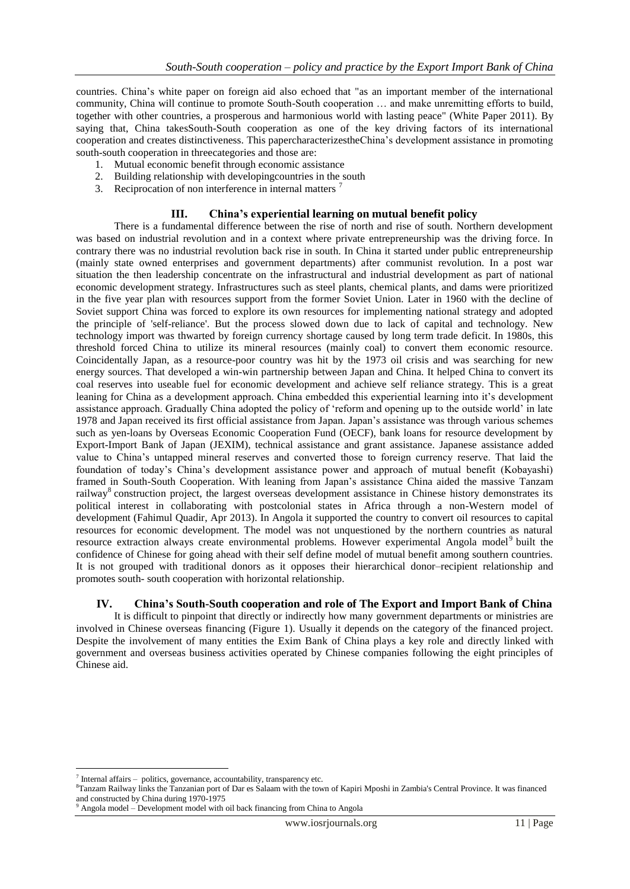countries. China's white paper on foreign aid also echoed that "as an important member of the international community, China will continue to promote South-South cooperation … and make unremitting efforts to build, together with other countries, a prosperous and harmonious world with lasting peace" (White Paper 2011). By saying that, China takesSouth-South cooperation as one of the key driving factors of its international cooperation and creates distinctiveness. This papercharacterizestheChina's development assistance in promoting south-south cooperation in threecategories and those are:

- 1. Mutual economic benefit through economic assistance
- 2. Building relationship with developingcountries in the south
- 3. Reciprocation of non interference in internal matters

## **III. China's experiential learning on mutual benefit policy**

There is a fundamental difference between the rise of north and rise of south. Northern development was based on industrial revolution and in a context where private entrepreneurship was the driving force. In contrary there was no industrial revolution back rise in south. In China it started under public entrepreneurship (mainly state owned enterprises and government departments) after communist revolution. In a post war situation the then leadership concentrate on the infrastructural and industrial development as part of national economic development strategy. Infrastructures such as steel plants, chemical plants, and dams were prioritized in the five year plan with resources support from the former Soviet Union. Later in 1960 with the decline of Soviet support China was forced to explore its own resources for implementing national strategy and adopted the principle of 'self-reliance'. But the process slowed down due to lack of capital and technology. New technology import was thwarted by foreign currency shortage caused by long term trade deficit. In 1980s, this threshold forced China to utilize its mineral resources (mainly coal) to convert them economic resource. Coincidentally Japan, as a resource-poor country was hit by the 1973 oil crisis and was searching for new energy sources. That developed a win-win partnership between Japan and China. It helped China to convert its coal reserves into useable fuel for economic development and achieve self reliance strategy. This is a great leaning for China as a development approach. China embedded this experiential learning into it's development assistance approach. Gradually China adopted the policy of 'reform and opening up to the outside world' in late 1978 and Japan received its first official assistance from Japan. Japan's assistance was through various schemes such as yen-loans by Overseas Economic Cooperation Fund (OECF), bank loans for resource development by Export-Import Bank of Japan (JEXIM), technical assistance and grant assistance. Japanese assistance added value to China's untapped mineral reserves and converted those to foreign currency reserve. That laid the foundation of today's China's development assistance power and approach of mutual benefit (Kobayashi) framed in South-South Cooperation. With leaning from Japan's assistance China aided the massive Tanzam railway<sup>8</sup> construction project, the largest overseas development assistance in Chinese history demonstrates its political interest in collaborating with postcolonial states in Africa through a non-Western model of development (Fahimul Quadir, Apr 2013). In Angola it supported the country to convert oil resources to capital resources for economic development. The model was not unquestioned by the northern countries as natural resource extraction always create environmental problems. However experimental Angola model<sup>9</sup> built the confidence of Chinese for going ahead with their self define model of mutual benefit among southern countries. It is not grouped with traditional donors as it opposes their hierarchical donor–recipient relationship and promotes south- south cooperation with horizontal relationship.

## **IV. China's South-South cooperation and role of The Export and Import Bank of China**

It is difficult to pinpoint that directly or indirectly how many government departments or ministries are involved in Chinese overseas financing (Figure 1). Usually it depends on the category of the financed project. Despite the involvement of many entities the Exim Bank of China plays a key role and directly linked with government and overseas business activities operated by Chinese companies following the eight principles of Chinese aid.

 $\overline{\phantom{a}}$ 

 $\frac{7}{7}$  Internal affairs – politics, governance, accountability, transparency etc.

<sup>8</sup>Tanzam Railway links the Tanzanian port of Dar es Salaam with the town of Kapiri Mposhi in Zambia's Central Province. It was financed and constructed by China during 1970-1975

<sup>9</sup> Angola model – Development model with oil back financing from China to Angola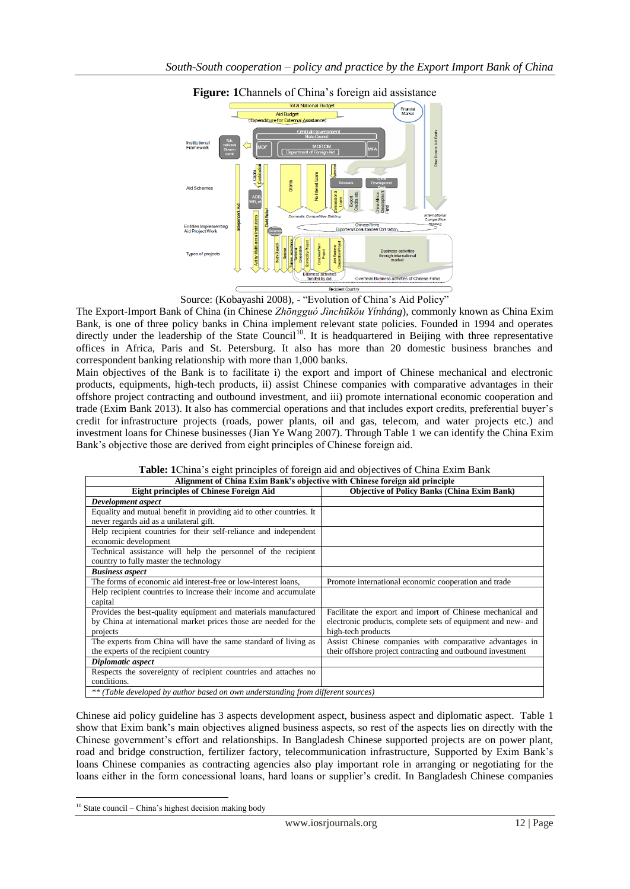

## **Figure: 1**Channels of China's foreign aid assistance

Source: (Kobayashi 2008), - "Evolution of China's Aid Policy"

The Export-Import Bank of China (in Chinese *Zhōngguó Jìnchūkǒu Yínháng*), commonly known as China Exim Bank, is one of three policy banks in China implement relevant state policies. Founded in 1994 and operates directly under the leadership of the State Council<sup>10</sup>. It is headquartered in Beijing with three representative offices in Africa, Paris and St. Petersburg. It also has more than 20 domestic business branches and correspondent banking relationship with more than 1,000 banks.

Main objectives of the Bank is to facilitate i) the export and import of Chinese mechanical and electronic products, equipments, high-tech products, ii) assist Chinese companies with comparative advantages in their offshore project contracting and outbound investment, and iii) promote international economic cooperation and trade (Exim Bank 2013). It also has commercial operations and that includes export credits, preferential buyer's credit for infrastructure projects (roads, power plants, oil and gas, telecom, and water projects etc.) and investment loans for Chinese businesses (Jian Ye Wang 2007). Through Table 1 we can identify the China Exim Bank's objective those are derived from eight principles of Chinese foreign aid.

| Alignment of China Exim Bank's objective with Chinese foreign aid principle      |                                                              |  |  |  |  |
|----------------------------------------------------------------------------------|--------------------------------------------------------------|--|--|--|--|
| <b>Eight principles of Chinese Foreign Aid</b>                                   | <b>Objective of Policy Banks (China Exim Bank)</b>           |  |  |  |  |
| Development aspect                                                               |                                                              |  |  |  |  |
| Equality and mutual benefit in providing aid to other countries. It              |                                                              |  |  |  |  |
| never regards aid as a unilateral gift.                                          |                                                              |  |  |  |  |
| Help recipient countries for their self-reliance and independent                 |                                                              |  |  |  |  |
| economic development                                                             |                                                              |  |  |  |  |
| Technical assistance will help the personnel of the recipient                    |                                                              |  |  |  |  |
| country to fully master the technology                                           |                                                              |  |  |  |  |
| <b>Business aspect</b>                                                           |                                                              |  |  |  |  |
| The forms of economic aid interest-free or low-interest loans.                   | Promote international economic cooperation and trade         |  |  |  |  |
| Help recipient countries to increase their income and accumulate                 |                                                              |  |  |  |  |
| capital                                                                          |                                                              |  |  |  |  |
| Provides the best-quality equipment and materials manufactured                   | Facilitate the export and import of Chinese mechanical and   |  |  |  |  |
| by China at international market prices those are needed for the                 | electronic products, complete sets of equipment and new- and |  |  |  |  |
| projects                                                                         | high-tech products                                           |  |  |  |  |
| The experts from China will have the same standard of living as                  | Assist Chinese companies with comparative advantages in      |  |  |  |  |
| the experts of the recipient country                                             | their offshore project contracting and outbound investment   |  |  |  |  |
| Diplomatic aspect                                                                |                                                              |  |  |  |  |
| Respects the sovereignty of recipient countries and attaches no                  |                                                              |  |  |  |  |
| conditions.                                                                      |                                                              |  |  |  |  |
| ** (Table developed by author based on own understanding from different sources) |                                                              |  |  |  |  |

**Table: 1**China's eight principles of foreign aid and objectives of China Exim Bank

Chinese aid policy guideline has 3 aspects development aspect, business aspect and diplomatic aspect. Table 1 show that Exim bank's main objectives aligned business aspects, so rest of the aspects lies on directly with the Chinese government's effort and relationships. In Bangladesh Chinese supported projects are on power plant, road and bridge construction, fertilizer factory, telecommunication infrastructure, Supported by Exim Bank's loans Chinese companies as contracting agencies also play important role in arranging or negotiating for the loans either in the form concessional loans, hard loans or supplier's credit. In Bangladesh Chinese companies

1

<sup>10</sup> State council – China's highest decision making body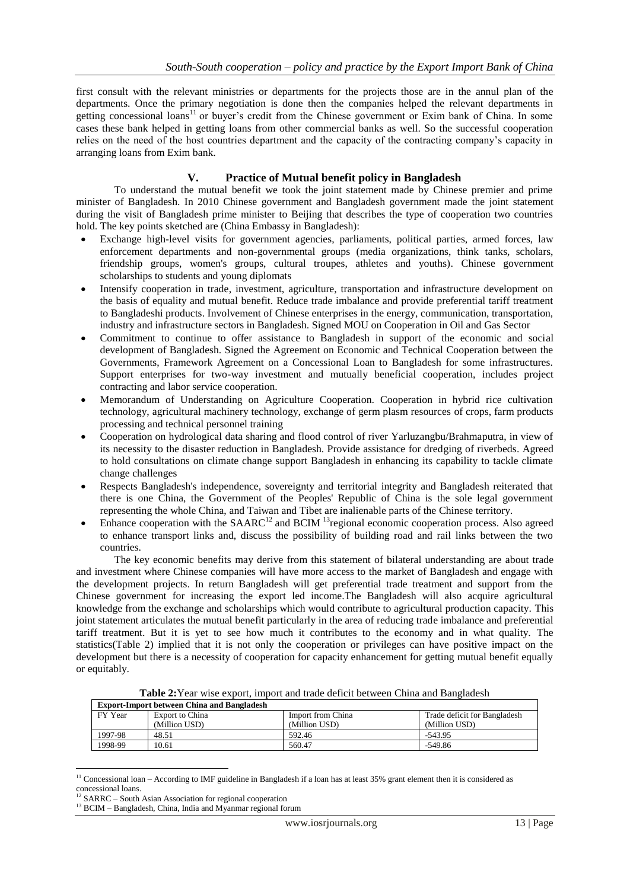first consult with the relevant ministries or departments for the projects those are in the annul plan of the departments. Once the primary negotiation is done then the companies helped the relevant departments in getting concessional loans<sup>11</sup> or buyer's credit from the Chinese government or Exim bank of China. In some cases these bank helped in getting loans from other commercial banks as well. So the successful cooperation relies on the need of the host countries department and the capacity of the contracting company's capacity in arranging loans from Exim bank.

## **V. Practice of Mutual benefit policy in Bangladesh**

To understand the mutual benefit we took the joint statement made by Chinese premier and prime minister of Bangladesh. In 2010 Chinese government and Bangladesh government made the joint statement during the visit of Bangladesh prime minister to Beijing that describes the type of cooperation two countries hold. The key points sketched are (China Embassy in Bangladesh):

- Exchange high-level visits for government agencies, parliaments, political parties, armed forces, law enforcement departments and non-governmental groups (media organizations, think tanks, scholars, friendship groups, women's groups, cultural troupes, athletes and youths). Chinese government scholarships to students and young diplomats
- Intensify cooperation in trade, investment, agriculture, transportation and infrastructure development on the basis of equality and mutual benefit. Reduce trade imbalance and provide preferential tariff treatment to Bangladeshi products. Involvement of Chinese enterprises in the energy, communication, transportation, industry and infrastructure sectors in Bangladesh. Signed MOU on Cooperation in Oil and Gas Sector
- Commitment to continue to offer assistance to Bangladesh in support of the economic and social development of Bangladesh. Signed the Agreement on Economic and Technical Cooperation between the Governments, Framework Agreement on a Concessional Loan to Bangladesh for some infrastructures. Support enterprises for two-way investment and mutually beneficial cooperation, includes project contracting and labor service cooperation.
- Memorandum of Understanding on Agriculture Cooperation. Cooperation in hybrid rice cultivation technology, agricultural machinery technology, exchange of germ plasm resources of crops, farm products processing and technical personnel training
- Cooperation on hydrological data sharing and flood control of river Yarluzangbu/Brahmaputra, in view of its necessity to the disaster reduction in Bangladesh. Provide assistance for dredging of riverbeds. Agreed to hold consultations on climate change support Bangladesh in enhancing its capability to tackle climate change challenges
- Respects Bangladesh's independence, sovereignty and territorial integrity and Bangladesh reiterated that there is one China, the Government of the Peoples' Republic of China is the sole legal government representing the whole China, and Taiwan and Tibet are inalienable parts of the Chinese territory.
- Enhance cooperation with the  $SAARC^{12}$  and  $BCIM<sup>13</sup>$ regional economic cooperation process. Also agreed to enhance transport links and, discuss the possibility of building road and rail links between the two countries.

The key economic benefits may derive from this statement of bilateral understanding are about trade and investment where Chinese companies will have more access to the market of Bangladesh and engage with the development projects. In return Bangladesh will get preferential trade treatment and support from the Chinese government for increasing the export led income.The Bangladesh will also acquire agricultural knowledge from the exchange and scholarships which would contribute to agricultural production capacity. This joint statement articulates the mutual benefit particularly in the area of reducing trade imbalance and preferential tariff treatment. But it is yet to see how much it contributes to the economy and in what quality. The statistics(Table 2) implied that it is not only the cooperation or privileges can have positive impact on the development but there is a necessity of cooperation for capacity enhancement for getting mutual benefit equally or equitably.

| <b>Export-Import between China and Bangladesh</b> |                 |                   |                              |  |
|---------------------------------------------------|-----------------|-------------------|------------------------------|--|
| FY Year                                           | Export to China | Import from China | Trade deficit for Bangladesh |  |
|                                                   | (Million USD)   | (Million USD)     | (Million USD)                |  |
| 1997-98                                           | 48.51           | 592.46            | $-543.95$                    |  |
| 1998-99                                           | 10.61           | 560.47            | $-549.86$                    |  |

**Table 2:**Year wise export, import and trade deficit between China and Bangladesh

 $\overline{a}$ <sup>11</sup> Concessional loan – According to IMF guideline in Bangladesh if a loan has at least  $35\%$  grant element then it is considered as concessional loans.

 $12$  SARRC – South Asian Association for regional cooperation

 $^{13}$  BCIM – Bangladesh, China, India and Myanmar regional forum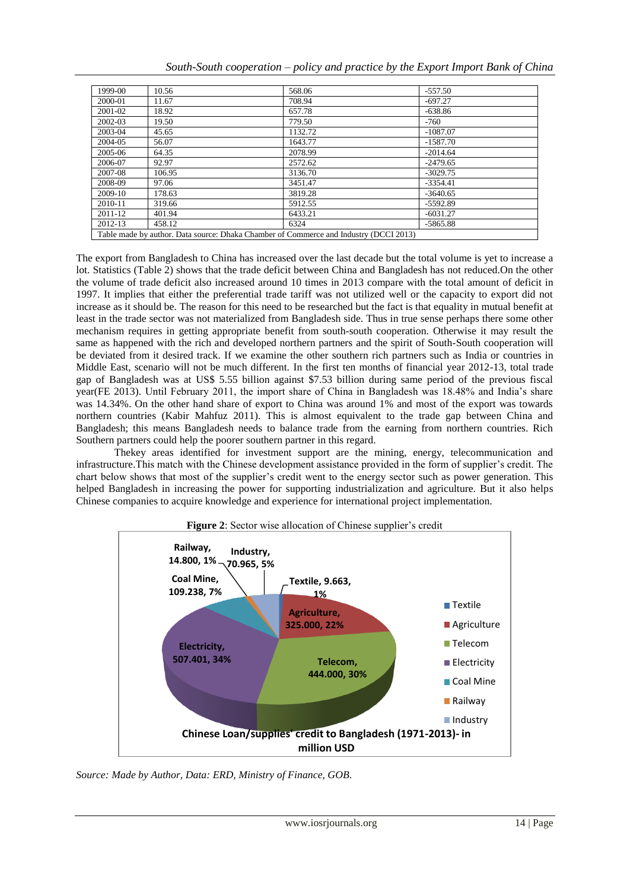| South-South cooperation – policy and practice by the Export Import Bank of China |  |  |  |  |
|----------------------------------------------------------------------------------|--|--|--|--|
|                                                                                  |  |  |  |  |

| 1999-00                                                                               | 10.56  | 568.06  | $-557.50$  |  |
|---------------------------------------------------------------------------------------|--------|---------|------------|--|
| 2000-01                                                                               | 11.67  | 708.94  | $-697.27$  |  |
| 2001-02                                                                               | 18.92  | 657.78  | $-638.86$  |  |
| 2002-03                                                                               | 19.50  | 779.50  | $-760$     |  |
| 2003-04                                                                               | 45.65  | 1132.72 | $-1087.07$ |  |
| 2004-05                                                                               | 56.07  | 1643.77 | $-1587.70$ |  |
| 2005-06                                                                               | 64.35  | 2078.99 | $-2014.64$ |  |
| 2006-07                                                                               | 92.97  | 2572.62 | $-2479.65$ |  |
| 2007-08                                                                               | 106.95 | 3136.70 | $-3029.75$ |  |
| 2008-09                                                                               | 97.06  | 3451.47 | $-3354.41$ |  |
| 2009-10                                                                               | 178.63 | 3819.28 | $-3640.65$ |  |
| 2010-11                                                                               | 319.66 | 5912.55 | $-5592.89$ |  |
| 2011-12                                                                               | 401.94 | 6433.21 | $-6031.27$ |  |
| 2012-13                                                                               | 458.12 | 6324    | $-5865.88$ |  |
| Table made by author. Data source: Dhaka Chamber of Commerce and Industry (DCCI 2013) |        |         |            |  |

The export from Bangladesh to China has increased over the last decade but the total volume is yet to increase a lot. Statistics (Table 2) shows that the trade deficit between China and Bangladesh has not reduced.On the other the volume of trade deficit also increased around 10 times in 2013 compare with the total amount of deficit in 1997. It implies that either the preferential trade tariff was not utilized well or the capacity to export did not increase as it should be. The reason for this need to be researched but the fact is that equality in mutual benefit at least in the trade sector was not materialized from Bangladesh side. Thus in true sense perhaps there some other mechanism requires in getting appropriate benefit from south-south cooperation. Otherwise it may result the same as happened with the rich and developed northern partners and the spirit of South-South cooperation will be deviated from it desired track. If we examine the other southern rich partners such as India or countries in Middle East, scenario will not be much different. In the first ten months of financial year 2012-13, total trade gap of Bangladesh was at US\$ 5.55 billion against \$7.53 billion during same period of the previous fiscal year(FE 2013). Until February 2011, the import share of China in Bangladesh was 18.48% and India's share was 14.34%. On the other hand share of export to China was around 1% and most of the export was towards northern countries (Kabir Mahfuz 2011). This is almost equivalent to the trade gap between China and Bangladesh; this means Bangladesh needs to balance trade from the earning from northern countries. Rich Southern partners could help the poorer southern partner in this regard.

Thekey areas identified for investment support are the mining, energy, telecommunication and infrastructure.This match with the Chinese development assistance provided in the form of supplier's credit. The chart below shows that most of the supplier's credit went to the energy sector such as power generation. This helped Bangladesh in increasing the power for supporting industrialization and agriculture. But it also helps Chinese companies to acquire knowledge and experience for international project implementation.



**Figure 2**: Sector wise allocation of Chinese supplier's credit

*Source: Made by Author, Data: ERD, Ministry of Finance, GOB.*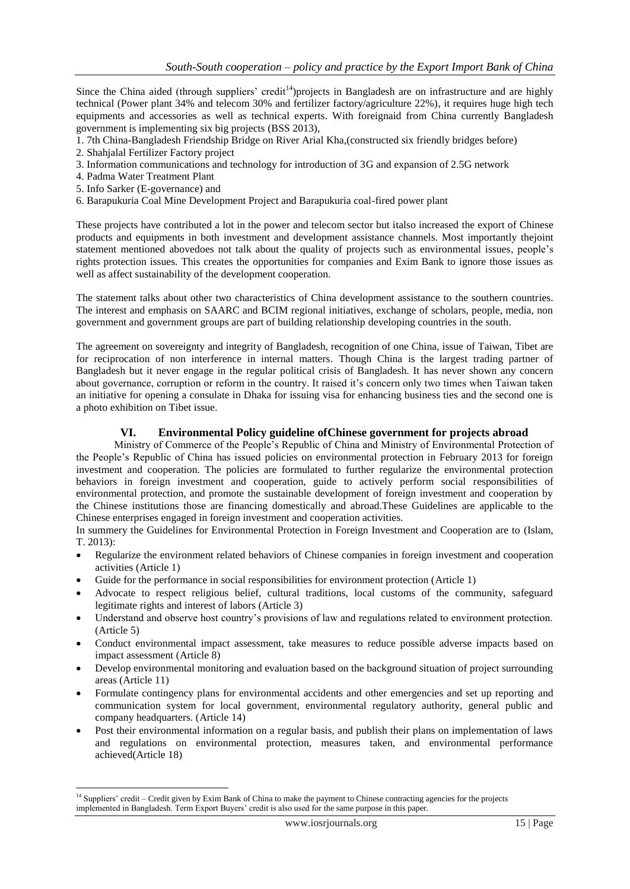Since the China aided (through suppliers' credit<sup>14</sup>)projects in Bangladesh are on infrastructure and are highly technical (Power plant 34% and telecom 30% and fertilizer factory/agriculture 22%), it requires huge high tech equipments and accessories as well as technical experts. With foreignaid from China currently Bangladesh government is implementing six big projects (BSS 2013),

- 1. 7th China-Bangladesh Friendship Bridge on River Arial Kha,(constructed six friendly bridges before)
- 2. Shahjalal Fertilizer Factory project
- 3. Information communications and technology for introduction of 3G and expansion of 2.5G network
- 4. Padma Water Treatment Plant
- 5. Info Sarker (E-governance) and

**.** 

6. Barapukuria Coal Mine Development Project and Barapukuria coal-fired power plant

These projects have contributed a lot in the power and telecom sector but italso increased the export of Chinese products and equipments in both investment and development assistance channels. Most importantly thejoint statement mentioned abovedoes not talk about the quality of projects such as environmental issues, people's rights protection issues. This creates the opportunities for companies and Exim Bank to ignore those issues as well as affect sustainability of the development cooperation.

The statement talks about other two characteristics of China development assistance to the southern countries. The interest and emphasis on SAARC and BCIM regional initiatives, exchange of scholars, people, media, non government and government groups are part of building relationship developing countries in the south.

The agreement on sovereignty and integrity of Bangladesh, recognition of one China, issue of Taiwan, Tibet are for reciprocation of non interference in internal matters. Though China is the largest trading partner of Bangladesh but it never engage in the regular political crisis of Bangladesh. It has never shown any concern about governance, corruption or reform in the country. It raised it's concern only two times when Taiwan taken an initiative for opening a consulate in Dhaka for issuing visa for enhancing business ties and the second one is a photo exhibition on Tibet issue.

## **VI. Environmental Policy guideline ofChinese government for projects abroad**

Ministry of Commerce of the People's Republic of China and Ministry of Environmental Protection of the People's Republic of China has issued policies on environmental protection in February 2013 for foreign investment and cooperation. The policies are formulated to further regularize the environmental protection behaviors in foreign investment and cooperation, guide to actively perform social responsibilities of environmental protection, and promote the sustainable development of foreign investment and cooperation by the Chinese institutions those are financing domestically and abroad.These Guidelines are applicable to the Chinese enterprises engaged in foreign investment and cooperation activities.

In summery the Guidelines for Environmental Protection in Foreign Investment and Cooperation are to (Islam, T. 2013):

- Regularize the environment related behaviors of Chinese companies in foreign investment and cooperation activities (Article 1)
- Guide for the performance in social responsibilities for environment protection (Article 1)
- Advocate to respect religious belief, cultural traditions, local customs of the community, safeguard legitimate rights and interest of labors (Article 3)
- Understand and observe host country's provisions of law and regulations related to environment protection. (Article 5)
- Conduct environmental impact assessment, take measures to reduce possible adverse impacts based on impact assessment (Article 8)
- Develop environmental monitoring and evaluation based on the background situation of project surrounding areas (Article 11)
- Formulate contingency plans for environmental accidents and other emergencies and set up reporting and communication system for local government, environmental regulatory authority, general public and company headquarters. (Article 14)
- Post their environmental information on a regular basis, and publish their plans on implementation of laws and regulations on environmental protection, measures taken, and environmental performance achieved(Article 18)

<sup>&</sup>lt;sup>14</sup> Suppliers' credit – Credit given by Exim Bank of China to make the payment to Chinese contracting agencies for the projects implemented in Bangladesh. Term Export Buyers' credit is also used for the same purpose in this paper.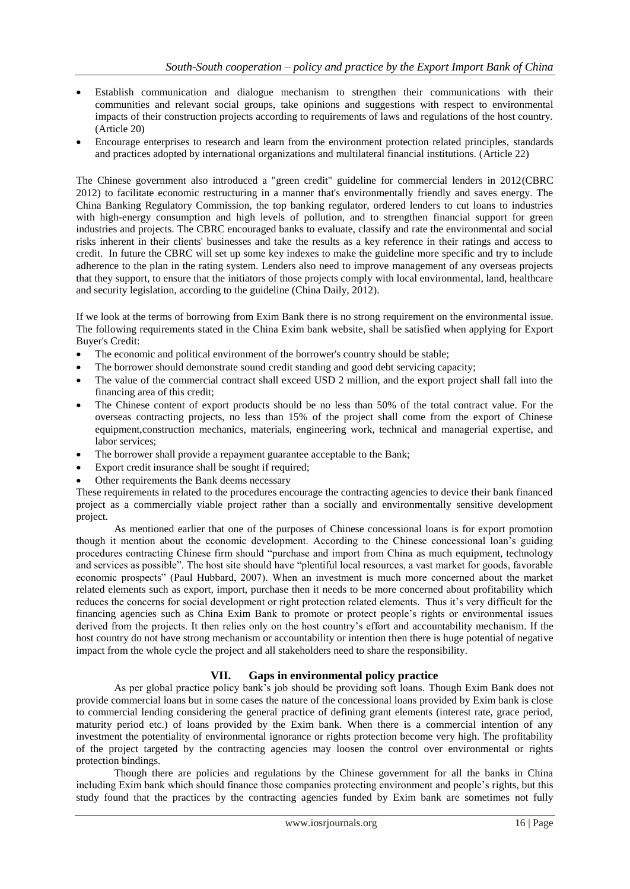- Establish communication and dialogue mechanism to strengthen their communications with their communities and relevant social groups, take opinions and suggestions with respect to environmental impacts of their construction projects according to requirements of laws and regulations of the host country. (Article 20)
- Encourage enterprises to research and learn from the environment protection related principles, standards and practices adopted by international organizations and multilateral financial institutions. (Article 22)

The Chinese government also introduced a "green credit" guideline for commercial lenders in 2012(CBRC 2012) to facilitate economic restructuring in a manner that's environmentally friendly and saves energy. The China Banking Regulatory Commission, the top banking regulator, ordered lenders to cut loans to industries with high-energy consumption and high levels of pollution, and to strengthen financial support for green industries and projects. The CBRC encouraged banks to evaluate, classify and rate the environmental and social risks inherent in their clients' businesses and take the results as a key reference in their ratings and access to credit. In future the CBRC will set up some key indexes to make the guideline more specific and try to include adherence to the plan in the rating system. Lenders also need to improve management of any overseas projects that they support, to ensure that the initiators of those projects comply with local environmental, land, healthcare and security legislation, according to the guideline (China Daily, 2012).

If we look at the terms of borrowing from Exim Bank there is no strong requirement on the environmental issue. The following requirements stated in the China Exim bank website, shall be satisfied when applying for Export Buyer's Credit:

- The economic and political environment of the borrower's country should be stable;
- The borrower should demonstrate sound credit standing and good debt servicing capacity;
- The value of the commercial contract shall exceed USD 2 million, and the export project shall fall into the financing area of this credit;
- The Chinese content of export products should be no less than 50% of the total contract value. For the overseas contracting projects, no less than 15% of the project shall come from the export of Chinese equipment,construction mechanics, materials, engineering work, technical and managerial expertise, and labor services;
- The borrower shall provide a repayment guarantee acceptable to the Bank;
- Export credit insurance shall be sought if required;
- Other requirements the Bank deems necessary

These requirements in related to the procedures encourage the contracting agencies to device their bank financed project as a commercially viable project rather than a socially and environmentally sensitive development project.

As mentioned earlier that one of the purposes of Chinese concessional loans is for export promotion though it mention about the economic development. According to the Chinese concessional loan's guiding procedures contracting Chinese firm should "purchase and import from China as much equipment, technology and services as possible". The host site should have "plentiful local resources, a vast market for goods, favorable economic prospects" (Paul Hubbard, 2007). When an investment is much more concerned about the market related elements such as export, import, purchase then it needs to be more concerned about profitability which reduces the concerns for social development or right protection related elements. Thus it's very difficult for the financing agencies such as China Exim Bank to promote or protect people's rights or environmental issues derived from the projects. It then relies only on the host country's effort and accountability mechanism. If the host country do not have strong mechanism or accountability or intention then there is huge potential of negative impact from the whole cycle the project and all stakeholders need to share the responsibility.

## **VII. Gaps in environmental policy practice**

As per global practice policy bank's job should be providing soft loans. Though Exim Bank does not provide commercial loans but in some cases the nature of the concessional loans provided by Exim bank is close to commercial lending considering the general practice of defining grant elements (interest rate, grace period, maturity period etc.) of loans provided by the Exim bank. When there is a commercial intention of any investment the potentiality of environmental ignorance or rights protection become very high. The profitability of the project targeted by the contracting agencies may loosen the control over environmental or rights protection bindings.

Though there are policies and regulations by the Chinese government for all the banks in China including Exim bank which should finance those companies protecting environment and people's rights, but this study found that the practices by the contracting agencies funded by Exim bank are sometimes not fully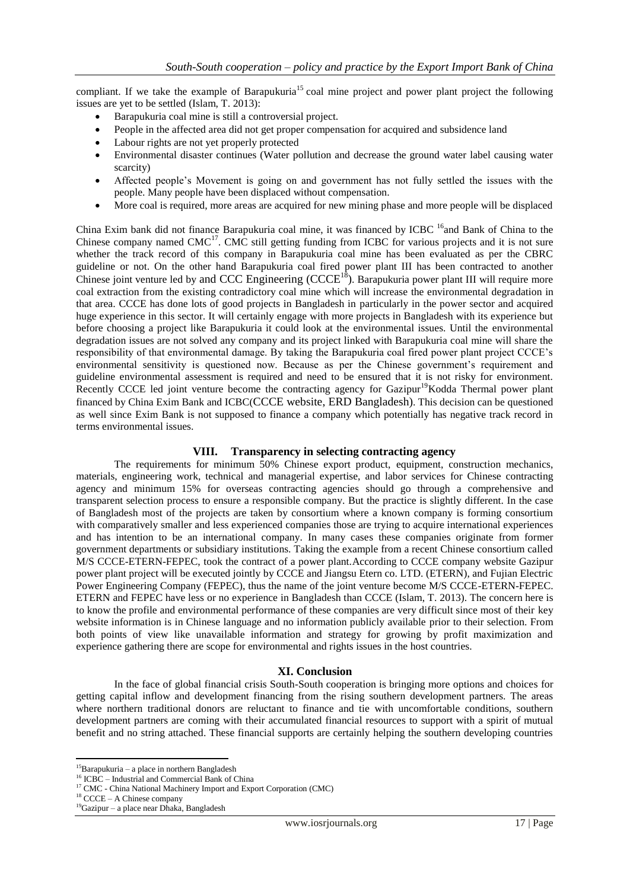compliant. If we take the example of Barapukuria<sup>15</sup> coal mine project and power plant project the following issues are yet to be settled (Islam, T. 2013):

- Barapukuria coal mine is still a controversial project.
- People in the affected area did not get proper compensation for acquired and subsidence land
- Labour rights are not yet properly protected
- Environmental disaster continues (Water pollution and decrease the ground water label causing water scarcity)
- Affected people's Movement is going on and government has not fully settled the issues with the people. Many people have been displaced without compensation.
- More coal is required, more areas are acquired for new mining phase and more people will be displaced

China Exim bank did not finance Barapukuria coal mine, it was financed by ICBC <sup>16</sup>and Bank of China to the Chinese company named  $CMC^{17}$ . CMC still getting funding from ICBC for various projects and it is not sure whether the track record of this company in Barapukuria coal mine has been evaluated as per the CBRC guideline or not. On the other hand Barapukuria coal fired power plant III has been contracted to another Chinese joint venture led by and CCC Engineering  $(CCCE<sup>18</sup>)$ . Barapukuria power plant III will require more coal extraction from the existing contradictory coal mine which will increase the environmental degradation in that area. CCCE has done lots of good projects in Bangladesh in particularly in the power sector and acquired huge experience in this sector. It will certainly engage with more projects in Bangladesh with its experience but before choosing a project like Barapukuria it could look at the environmental issues. Until the environmental degradation issues are not solved any company and its project linked with Barapukuria coal mine will share the responsibility of that environmental damage. By taking the Barapukuria coal fired power plant project CCCE's environmental sensitivity is questioned now. Because as per the Chinese government's requirement and guideline environmental assessment is required and need to be ensured that it is not risky for environment. Recently CCCE led joint venture become the contracting agency for Gazipur<sup>19</sup>Kodda Thermal power plant financed by China Exim Bank and ICBC(CCCE website, ERD Bangladesh). This decision can be questioned as well since Exim Bank is not supposed to finance a company which potentially has negative track record in terms environmental issues.

## **VIII. Transparency in selecting contracting agency**

The requirements for minimum 50% Chinese export product, equipment, construction mechanics, materials, engineering work, technical and managerial expertise, and labor services for Chinese contracting agency and minimum 15% for overseas contracting agencies should go through a comprehensive and transparent selection process to ensure a responsible company. But the practice is slightly different. In the case of Bangladesh most of the projects are taken by consortium where a known company is forming consortium with comparatively smaller and less experienced companies those are trying to acquire international experiences and has intention to be an international company. In many cases these companies originate from former government departments or subsidiary institutions. Taking the example from a recent Chinese consortium called M/S CCCE-ETERN-FEPEC, took the contract of a power plant.According to CCCE company website Gazipur power plant project will be executed jointly by CCCE and Jiangsu Etern co. LTD. (ETERN), and Fujian Electric Power Engineering Company (FEPEC), thus the name of the joint venture become M/S CCCE-ETERN-FEPEC. ETERN and FEPEC have less or no experience in Bangladesh than CCCE (Islam, T. 2013). The concern here is to know the profile and environmental performance of these companies are very difficult since most of their key website information is in Chinese language and no information publicly available prior to their selection. From both points of view like unavailable information and strategy for growing by profit maximization and experience gathering there are scope for environmental and rights issues in the host countries.

## **XI. Conclusion**

In the face of global financial crisis South-South cooperation is bringing more options and choices for getting capital inflow and development financing from the rising southern development partners. The areas where northern traditional donors are reluctant to finance and tie with uncomfortable conditions, southern development partners are coming with their accumulated financial resources to support with a spirit of mutual benefit and no string attached. These financial supports are certainly helping the southern developing countries

**<sup>.</sup>**  $15$ Barapukuria – a place in northern Bangladesh

 $^{16}$  ICBC – Industrial and Commercial Bank of China

<sup>&</sup>lt;sup>17</sup> CMC - China National Machinery Import and Export Corporation (CMC)

<sup>18</sup> CCCE – A Chinese company

<sup>19</sup>Gazipur – a place near Dhaka, Bangladesh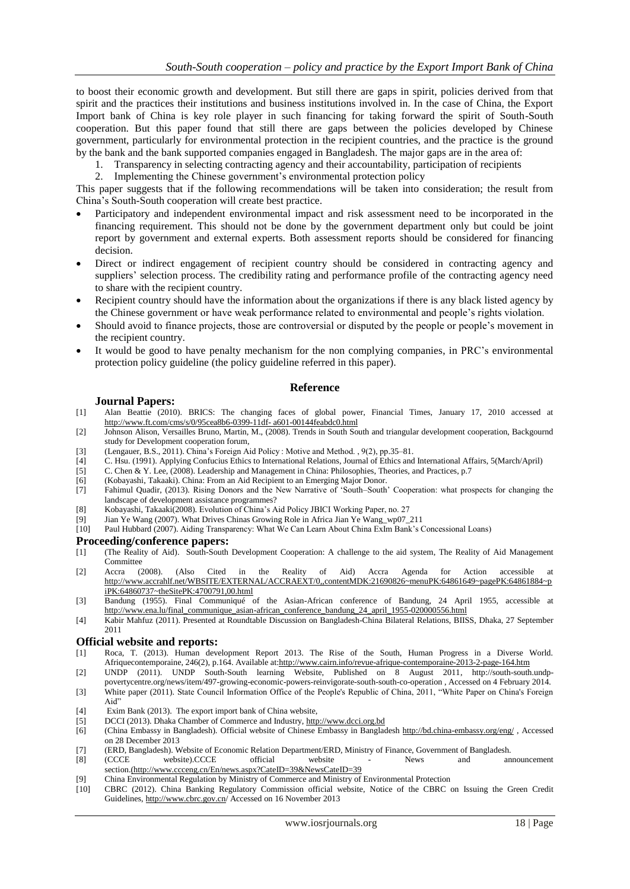to boost their economic growth and development. But still there are gaps in spirit, policies derived from that spirit and the practices their institutions and business institutions involved in. In the case of China, the Export Import bank of China is key role player in such financing for taking forward the spirit of South-South cooperation. But this paper found that still there are gaps between the policies developed by Chinese government, particularly for environmental protection in the recipient countries, and the practice is the ground by the bank and the bank supported companies engaged in Bangladesh. The major gaps are in the area of:

- 1. Transparency in selecting contracting agency and their accountability, participation of recipients
- 2. Implementing the Chinese government's environmental protection policy

This paper suggests that if the following recommendations will be taken into consideration; the result from China's South-South cooperation will create best practice.

- Participatory and independent environmental impact and risk assessment need to be incorporated in the financing requirement. This should not be done by the government department only but could be joint report by government and external experts. Both assessment reports should be considered for financing decision.
- Direct or indirect engagement of recipient country should be considered in contracting agency and suppliers' selection process. The credibility rating and performance profile of the contracting agency need to share with the recipient country.
- Recipient country should have the information about the organizations if there is any black listed agency by the Chinese government or have weak performance related to environmental and people's rights violation.
- Should avoid to finance projects, those are controversial or disputed by the people or people's movement in the recipient country.
- It would be good to have penalty mechanism for the non complying companies, in PRC's environmental protection policy guideline (the policy guideline referred in this paper).

#### **Reference**

#### **Journal Papers:**

- [1] Alan Beattie (2010). BRICS: The changing faces of global power, Financial Times, January 17, 2010 accessed at [http://www.ft.com/cms/s/0/95cea8b6-0399-11df-](http://www.ft.com/cms/s/0/95cea8b6-0399-11df-%20a601-00144feabdc0.html) a601-00144feabdc0.html
- [2] Johnson Alison, Versailles Bruno, Martin, M., (2008). Trends in South South and triangular development cooperation, Backgournd study for Development cooperation forum,
- [3] (Lengauer, B.S., 2011). China's Foreign Aid Policy : Motive and Method. , 9(2), pp.35–81.
- [4] C. Hsu. (1991). Applying Confucius Ethics to International Relations, Journal of Ethics and International Affairs, 5(March/April)
- [5] C. Chen & Y. Lee, (2008). Leadership and Management in China: Philosophies, Theories, and Practices, p.7
- [6] (Kobayashi, Takaaki). China: From an Aid Recipient to an Emerging Major Donor.
- [7] Fahimul Quadir, (2013). Rising Donors and the New Narrative of ‗South–South' Cooperation: what prospects for changing the landscape of development assistance programmes?
- [8] Kobayashi, Takaaki(2008). Evolution of China's Aid Policy JBICI Working Paper, no. 27
- [9] Jian Ye Wang (2007). What Drives Chinas Growing Role in Africa Jian Ye Wang\_wp07\_211
- [10] Paul Hubbard (2007). Aiding Transparency: What We Can Learn About China ExIm Bank's Concessional Loans)

#### **Proceeding/conference papers:**

- [1] (The Reality of Aid). South-South Development Cooperation: A challenge to the aid system, The Reality of Aid Management Committee
- [2] Accra (2008). (Also Cited in the Reality of Aid) Accra Agenda for Action accessible [http://www.accrahlf.net/WBSITE/EXTERNAL/ACCRAEXT/0,,contentMDK:21690826~menuPK:64861649~pagePK:64861884~p](http://www.accrahlf.net/WBSITE/EXTERNAL/ACCRAEXT/0,,contentMDK:21690826~menuPK:64861649~pagePK:64861884~piPK:64860737~theSitePK:4700791,00.html) [iPK:64860737~theSitePK:4700791,00.html](http://www.accrahlf.net/WBSITE/EXTERNAL/ACCRAEXT/0,,contentMDK:21690826~menuPK:64861649~pagePK:64861884~piPK:64860737~theSitePK:4700791,00.html)
- [3] Bandung (1955). Final Communiqué of the Asian-African conference of Bandung, 24 April 1955, accessible at [http://www.ena.lu/final\\_communique\\_asian-african\\_conference\\_bandung\\_24\\_april\\_1955-020000556.html](http://www.ena.lu/final_communique_asian-african_conference_bandung_24_april_1955-020000556.html)
- [4] Kabir Mahfuz (2011). Presented at Roundtable Discussion on Bangladesh-China Bilateral Relations, BIISS, Dhaka, 27 September 2011

#### **Official website and reports:**

- [1] Roca, T. (2013). Human development Report 2013. The Rise of the South, Human Progress in a Diverse World. Afriquecontemporaine, 246(2), p.164. Available at[:http://www.cairn.info/revue-afrique-contemporaine-2013-2-page-164.htm](http://www.cairn.info/revue-afrique-contemporaine-2013-2-page-164.htm)
- [2] UNDP (2011). UNDP South-South learning Website, Published on 8 August 2011, http://south-south.undppovertycentre.org/news/item/497-growing-economic-powers-reinvigorate-south-south-co-operation , Accessed on 4 February 2014.
- [3] White paper (2011). State Council Information Office of the People's Republic of China, 2011, "White Paper on China's Foreign Aid"
- [4] Exim Bank (2013). The export import bank of China website,
- DCCI (2013). Dhaka Chamber of Commerce and Industry[, http://www.dcci.org.bd](http://www.dcci.org.bd/)
- [6] (China Embassy in Bangladesh). Official website of Chinese Embassy in Banglades[h http://bd.china-embassy.org/eng/](http://bd.china-embassy.org/eng/) , Accessed on 28 December 2013
- [7] (ERD, Bangladesh). Website of Economic Relation Department/ERD, Ministry of Finance, Government of Bangladesh.
- [8] (CCCE website).CCCE official website News and announcement section.[\(http://www.ccceng.cn/En/news.aspx?CateID=39&NewsCateID=39](http://www.ccceng.cn/En/news.aspx?CateID=39&NewsCateID=39)
- [9] China Environmental Regulation by Ministry of Commerce and Ministry of Environmental Protection [10] CBRC (2012). China Banking Regulatory Commission official website, Notice of the CBRC (2012).
- [10] CBRC (2012). China Banking Regulatory Commission official website, Notice of the CBRC on Issuing the Green Credit Guidelines[, http://www.cbrc.gov.cn/](http://www.cbrc.gov.cn/) Accessed on 16 November 2013